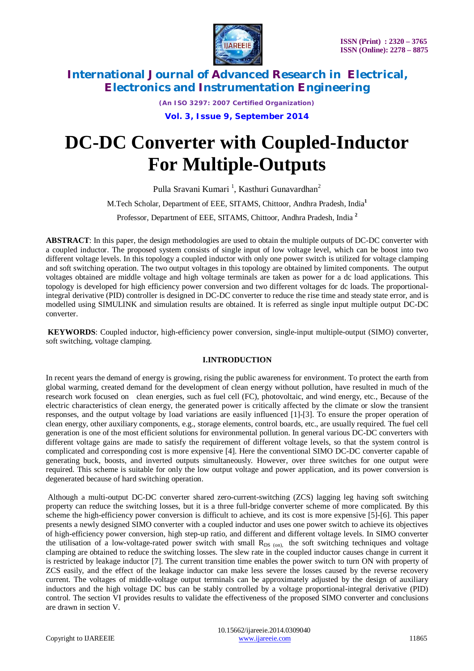

*(An ISO 3297: 2007 Certified Organization)*

**Vol. 3, Issue 9, September 2014**

# **DC-DC Converter with Coupled-Inductor For Multiple-Outputs**

Pulla Sravani Kumari<sup>1</sup>, Kasthuri Gunavardhan<sup>2</sup> M.Tech Scholar, Department of EEE, SITAMS, Chittoor, Andhra Pradesh, India**<sup>1</sup>** Professor, Department of EEE, SITAMS, Chittoor, Andhra Pradesh, India **<sup>2</sup>**

**ABSTRACT**: In this paper, the design methodologies are used to obtain the multiple outputs of DC-DC converter with a coupled inductor. The proposed system consists of single input of low voltage level, which can be boost into two different voltage levels. In this topology a coupled inductor with only one power switch is utilized for voltage clamping and soft switching operation. The two output voltages in this topology are obtained by limited components. The output voltages obtained are middle voltage and high voltage terminals are taken as power for a dc load applications. This topology is developed for high efficiency power conversion and two different voltages for dc loads. The proportionalintegral derivative (PID) controller is designed in DC-DC converter to reduce the rise time and steady state error, and is modelled using SIMULINK and simulation results are obtained. It is referred as single input multiple output DC-DC converter.

**KEYWORDS**: Coupled inductor, high-efficiency power conversion, single-input multiple-output (SIMO) converter, soft switching, voltage clamping.

### **I.INTRODUCTION**

In recent years the demand of energy is growing, rising the public awareness for environment. To protect the earth from global warming, created demand for the development of clean energy without pollution, have resulted in much of the research work focused on clean energies, such as fuel cell (FC), photovoltaic, and wind energy, etc., Because of the electric characteristics of clean energy, the generated power is critically affected by the climate or slow the transient responses, and the output voltage by load variations are easily influenced [1]-[3]. To ensure the proper operation of clean energy, other auxiliary components, e.g., storage elements, control boards, etc., are usually required. The fuel cell generation is one of the most efficient solutions for environmental pollution. In general various DC-DC converters with different voltage gains are made to satisfy the requirement of different voltage levels, so that the system control is complicated and corresponding cost is more expensive [4]. Here the conventional SIMO DC-DC converter capable of generating buck, boosts, and inverted outputs simultaneously. However, over three switches for one output were required. This scheme is suitable for only the low output voltage and power application, and its power conversion is degenerated because of hard switching operation.

Although a multi-output DC-DC converter shared zero-current-switching (ZCS) lagging leg having soft switching property can reduce the switching losses, but it is a three full-bridge converter scheme of more complicated. By this scheme the high-efficiency power conversion is difficult to achieve, and its cost is more expensive [5]-[6]. This paper presents a newly designed SIMO converter with a coupled inductor and uses one power switch to achieve its objectives of high-efficiency power conversion, high step-up ratio, and different and different voltage levels. In SIMO converter the utilisation of a low-voltage-rated power switch with small  $R_{DS}$  (on), the soft switching techniques and voltage clamping are obtained to reduce the switching losses. The slew rate in the coupled inductor causes change in current it is restricted by leakage inductor [7]. The current transition time enables the power switch to turn ON with property of ZCS easily, and the effect of the leakage inductor can make less severe the losses caused by the reverse recovery current. The voltages of middle-voltage output terminals can be approximately adjusted by the design of auxiliary inductors and the high voltage DC bus can be stably controlled by a voltage proportional-integral derivative (PID) control. The section VI provides results to validate the effectiveness of the proposed SIMO converter and conclusions are drawn in section V.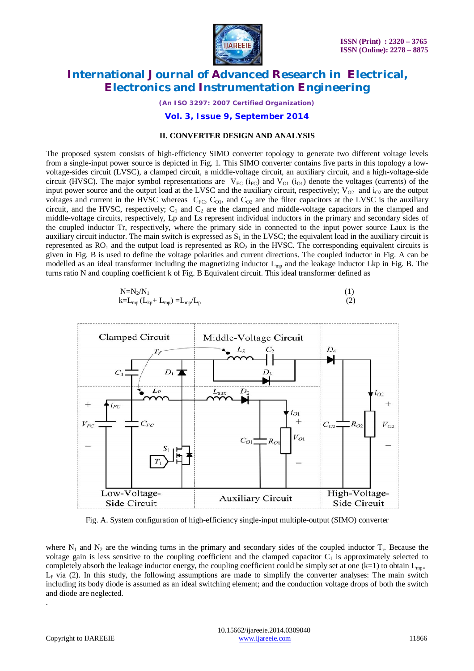

*(An ISO 3297: 2007 Certified Organization)*

**Vol. 3, Issue 9, September 2014**

#### **II. CONVERTER DESIGN AND ANALYSIS**

The proposed system consists of high-efficiency SIMO converter topology to generate two different voltage levels from a single-input power source is depicted in Fig. 1. This SIMO converter contains five parts in this topology a lowvoltage-sides circuit (LVSC), a clamped circuit, a middle-voltage circuit, an auxiliary circuit, and a high-voltage-side circuit (HVSC). The major symbol representations are  $V_{FC}$  (i<sub>FC</sub>) and  $V_{O1}$  (i<sub>O1</sub>) denote the voltages (currents) of the input power source and the output load at the LVSC and the auxiliary circuit, respectively;  $V_{O2}$  and  $i_{O2}$  are the output voltages and current in the HVSC whereas  $C_{FC}$ ,  $C_{O1}$ , and  $C_{O2}$  are the filter capacitors at the LVSC is the auxiliary circuit, and the HVSC, respectively;  $C_1$  and  $C_2$  are the clamped and middle-voltage capacitors in the clamped and middle-voltage circuits, respectively, Lp and Ls represent individual inductors in the primary and secondary sides of the coupled inductor Tr, respectively, where the primary side in connected to the input power source Laux is the auxiliary circuit inductor. The main switch is expressed as  $S_1$  in the LVSC; the equivalent load in the auxiliary circuit is represented as  $RO<sub>1</sub>$  and the output load is represented as  $RO<sub>2</sub>$  in the HVSC. The corresponding equivalent circuits is given in Fig. B is used to define the voltage polarities and current directions. The coupled inductor in Fig. A can be modelled as an ideal transformer including the magnetizing inductor L<sub>mp</sub> and the leakage inductor Lkp in Fig. B. The turns ratio N and coupling coefficient k of Fig. B Equivalent circuit. This ideal transformer defined as





Fig. A. System configuration of high-efficiency single-input multiple-output (SIMO) converter

where  $N_1$  and  $N_2$  are the winding turns in the primary and secondary sides of the coupled inductor  $T_r$ . Because the voltage gain is less sensitive to the coupling coefficient and the clamped capacitor  $C_1$  is approximately selected to completely absorb the leakage inductor energy, the coupling coefficient could be simply set at one  $(k=1)$  to obtain  $L_{mn}$  $L_P$  via (2). In this study, the following assumptions are made to simplify the converter analyses: The main switch including its body diode is assumed as an ideal switching element; and the conduction voltage drops of both the switch and diode are neglected.

.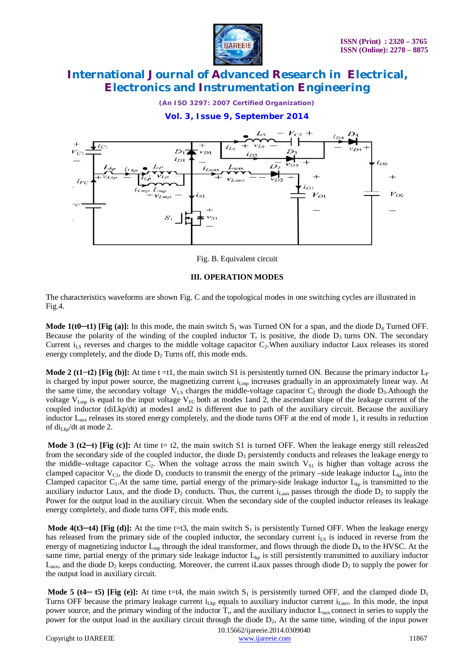

*(An ISO 3297: 2007 Certified Organization)*

**Vol. 3, Issue 9, September 2014**



Fig. B. Equivalent circuit

#### **III. OPERATION MODES**

The characteristics waveforms are shown Fig. C and the topological modes in one switching cycles are illustrated in Fig.4.

**Mode 1(t0–t1)** [Fig (a)]: In this mode, the main switch  $S_1$  was Turned ON for a span, and the diode  $D_4$  Turned OFF. Because the polarity of the winding of the coupled inductor  $T_r$  is positive, the diode  $D_3$  turns ON. The secondary Current  $i_{LS}$  reverses and charges to the middle voltage capacitor C<sub>2</sub>. When auxiliary inductor Laux releases its stored energy completely, and the diode  $D_2$  Turns off, this mode ends.

**Mode 2 (t1–t2)** [Fig (b)]: At time t =t1, the main switch S1 is persistently turned ON. Because the primary inductor  $L_{\rm P}$ is charged by input power source, the magnetizing current  $i_{Lmp}$  increases gradually in an approximately linear way. At the same time, the secondary voltage  $V_{LS}$  charges the middle-voltage capacitor  $C_2$  through the diode  $D_3$ .Athough the voltage  $V_{Lmp}$  is equal to the input voltage  $V_{FC}$  both at modes 1and 2, the ascendant slope of the leakage current of the coupled inductor (diLkp/dt) at modes1 and2 is different due to path of the auxiliary circuit. Because the auxiliary inductor L<sub>aux</sub> releases its stored energy completely, and the diode turns OFF at the end of mode 1, it results in reduction of di<sub>Lkp</sub>/dt at mode 2.

**Mode 3 (t2-t)** [Fig (c)]: At time t= t2, the main switch S1 is turned OFF. When the leakage energy still releas2ed from the secondary side of the coupled inductor, the diode  $D_3$  persistently conducts and releases the leakage energy to the middle–voltage capacitor  $C_2$ . When the voltage across the main switch  $V_{S1}$  is higher than voltage across the clamped capacitor  $V_{C1}$ , the diode  $D_1$  conducts to transmit the energy of the primary –side leakage inductor  $L_{kp}$  into the Clamped capacitor  $C_1$ . At the same time, partial energy of the primary-side leakage inductor  $L_{kp}$  is transmitted to the auxiliary inductor Laux, and the diode  $D_2$  conducts. Thus, the current i<sub>Laux</sub> passes through the diode  $D_2$  to supply the Power for the output load in the auxiliary circuit. When the secondary side of the coupled inductor releases its leakage energy completely, and diode turns OFF, this mode ends.

**Mode 4(t3—t4)** [Fig (d)]: At the time t=t3, the main switch  $S_1$  is persistently Turned OFF. When the leakage energy has released from the primary side of the coupled inductor, the secondary current  $i_{LS}$  is induced in reverse from the energy of magnetizing inductor  $L_{mp}$  through the ideal transformer, and flows through the diode  $D_4$  to the HVSC. At the same time, partial energy of the primary side leakage inductor  $L_{kp}$  is still persistently transmitted to auxiliary inductor  $L_{\text{aux}}$ , and the diode  $D_2$  keeps conducting. Moreover, the current iLaux passes through diode  $D_2$  to supply the power for the output load in auxiliary circuit.

**Mode 5 (t4— t5) [Fig (e)]:** At time t=t4, the main switch  $S_1$  is persistently turned OFF, and the clamped diode  $D_1$ Turns OFF because the primary leakage current  $i_{Lkp}$  equals to auxiliary inductor current  $i_{Laux}$ . In this mode, the input power source, and the primary winding of the inductor  $T_r$ , and the auxiliary inductor  $L_{\text{aux}}$  connect in series to supply the power for the output load in the auxiliary circuit through the diode  $D<sub>2</sub>$ , At the same time, winding of the input power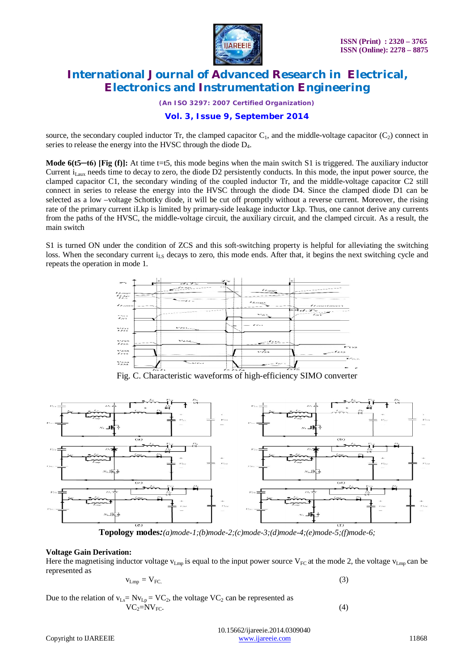

*(An ISO 3297: 2007 Certified Organization)*

### **Vol. 3, Issue 9, September 2014**

source, the secondary coupled inductor Tr, the clamped capacitor  $C_1$ , and the middle-voltage capacitor  $(C_2)$  connect in series to release the energy into the HVSC through the diode  $D_4$ .

**Mode 6(t5—t6) [Fig (f)]:** At time t=t5, this mode begins when the main switch S1 is triggered. The auxiliary inductor Current  $i_{\text{Laux}}$  needs time to decay to zero, the diode  $\overline{D2}$  persistently conducts. In this mode, the input power source, the clamped capacitor C1, the secondary winding of the coupled inductor Tr, and the middle-voltage capacitor C2 still connect in series to release the energy into the HVSC through the diode D4. Since the clamped diode D1 can be selected as a low –voltage Schottky diode, it will be cut off promptly without a reverse current. Moreover, the rising rate of the primary current iLkp is limited by primary-side leakage inductor Lkp. Thus, one cannot derive any currents from the paths of the HVSC, the middle-voltage circuit, the auxiliary circuit, and the clamped circuit. As a result, the main switch

S1 is turned ON under the condition of ZCS and this soft-switching property is helpful for alleviating the switching loss. When the secondary current  $i<sub>LS</sub>$  decays to zero, this mode ends. After that, it begins the next switching cycle and repeats the operation in mode 1.



Fig. C. Characteristic waveforms of high-efficiency SIMO converter



**Topology modes***:(a)mode-1;(b)mode-2;(c)mode-3;(d)mode-4;(e)mode-5;(f)mode-6;*

#### **Voltage Gain Derivation:**

Here the magnetising inductor voltage  $v_{Lmp}$  is equal to the input power source  $V_{FC}$  at the mode 2, the voltage  $v_{Lmp}$  can be represented as

$$
v_{Lmp} = V_{FC.}
$$
 (3)

Due to the relation of  $v_{Ls} = Nv_{Lp} = VC_2$ , the voltage  $VC_2$  can be represented as  $VC<sub>2</sub>=NV<sub>FC</sub>$ . (4)

 10.15662/ijareeie.2014.0309040 Copyright to IJAREEIE www.ijareeie.com 11868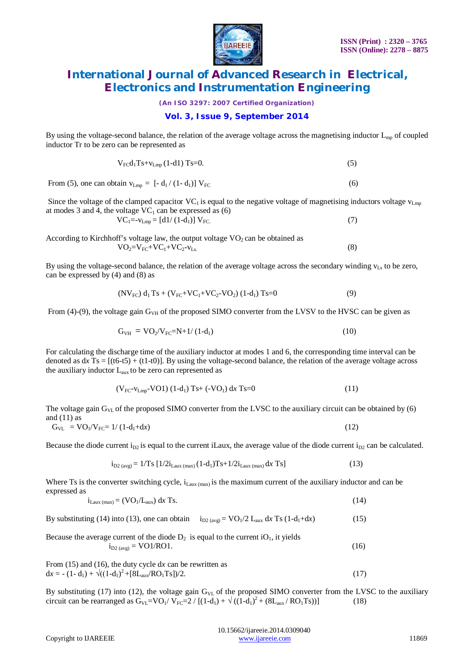

*(An ISO 3297: 2007 Certified Organization)*

### **Vol. 3, Issue 9, September 2014**

By using the voltage-second balance, the relation of the average voltage across the magnetising inductor  $L_{mn}$  of coupled inductor Tr to be zero can be represented as

$$
V_{\text{FC}}d_1Ts + v_{\text{Lmp}}(1-d1)Ts = 0. \tag{5}
$$

From (5), one can obtain  $v_{Lmp} = [-d_1/(1-d_1)] V_{FC}$  (6)

Since the voltage of the clamped capacitor  $VC_1$  is equal to the negative voltage of magnetising inductors voltage  $v_{Lmp}$ at modes 3 and 4, the voltage  $VC_1$  can be expressed as (6)

 $VC_1=-v_{Lmp} = [d1/(1-d_1)] V_{FC}$ . (7)

According to Kirchhoff's voltage law, the output voltage  $VO<sub>2</sub>$  can be obtained as  $VO_2=V_{FC}+VC_1+VC_2-v_{Ls.}$  (8)

By using the voltage-second balance, the relation of the average voltage across the secondary winding  $v_{\rm Ls}$  to be zero, can be expressed by (4) and (8) as

$$
(NV_{FC}) d_1 Ts + (V_{FC}+VC_1+VC_2-VO_2) (1-d_1) Ts=0
$$
\n(9)

From (4)-(9), the voltage gain  $G_{VH}$  of the proposed SIMO converter from the LVSV to the HVSC can be given as

$$
G_{VH} = VO_2/V_{FC} = N + 1/(1-d_1)
$$
\n(10)

For calculating the discharge time of the auxiliary inductor at modes 1 and 6, the corresponding time interval can be denoted as  $dx$  Ts =  $[(t6-t5) + (t1-t0)]$ . By using the voltage-second balance, the relation of the average voltage across the auxiliary inductor  $L_{aux}$  to be zero can represented as

$$
(V_{FC} - V_{Lmp} - VO1) (1 - d_1) Ts + (-VO_1) dx Ts = 0
$$
\n(11)

The voltage gain  $G_{\rm VL}$  of the proposed SIMO converter from the LVSC to the auxiliary circuit can be obtained by (6) and  $(11)$  as

$$
G_{\rm VL} = VO_{1}/V_{\rm FC} = 1/(1-d_{1}+dx)
$$
\n(12)

Because the diode current  $i_{D2}$  is equal to the current iLaux, the average value of the diode current  $i_{D2}$  can be calculated.

$$
i_{D2\ (avg)} = 1/Ts \ [1/2i_{Laux\ (max)} (1-d_1)Ts + 1/2i_{Laux\ (max)} dx \ Ts]
$$
 (13)

Where Ts is the converter switching cycle,  $i_{\text{Laux (max)}}$  is the maximum current of the auxiliary inductor and can be expressed as

$$
i_{Laux \, (max)} = (VO_1/L_{aux}) \, dx \, Ts. \tag{14}
$$

By substituting (14) into (13), one can obtain  $i_{D2 (ave)} = VO_1/2$  L<sub>aux</sub> dx Ts (1-d<sub>1</sub>+dx) (15)

Because the average current of the diode  $D_2$  is equal to the current i $O_1$ , it yields  $i_{D2 \text{ (ave)}} = \text{VO1/RO1}.$  (16)

From (15) and (16), the duty cycle d*x* can be rewritten as  $dx = - (1 - d_1) + \sqrt{((1 - d_1)^2 + [8L_{aux}/RO_1Ts])/2}.$  (17)

By substituting (17) into (12), the voltage gain  $G_{VL}$  of the proposed SIMO converter from the LVSC to the auxiliary circuit can be rearranged as  $G_{VL} = VO_1 / V_{FC} = 2 / [(1-d_1) + \sqrt{((1-d_1)^2 + (8L_{aux} / RO_1 Ts))}]$  (18)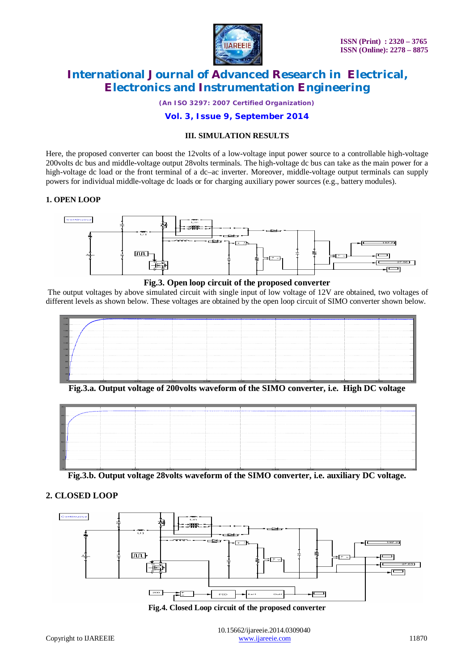

*(An ISO 3297: 2007 Certified Organization)*

### **Vol. 3, Issue 9, September 2014**

#### **III. SIMULATION RESULTS**

Here, the proposed converter can boost the 12volts of a low-voltage input power source to a controllable high-voltage 200volts dc bus and middle-voltage output 28volts terminals. The high-voltage dc bus can take as the main power for a high-voltage dc load or the front terminal of a dc–ac inverter. Moreover, middle-voltage output terminals can supply powers for individual middle-voltage dc loads or for charging auxiliary power sources (e.g., battery modules).

#### **1. OPEN LOOP**



#### **Fig.3. Open loop circuit of the proposed converter**

The output voltages by above simulated circuit with single input of low voltage of 12V are obtained, two voltages of different levels as shown below. These voltages are obtained by the open loop circuit of SIMO converter shown below.



**Fig.3.a. Output voltage of 200volts waveform of the SIMO converter, i.e. High DC voltage**



**Fig.3.b. Output voltage 28volts waveform of the SIMO converter, i.e. auxiliary DC voltage.**

### **2. CLOSED LOOP**



**Fig.4. Closed Loop circuit of the proposed converter**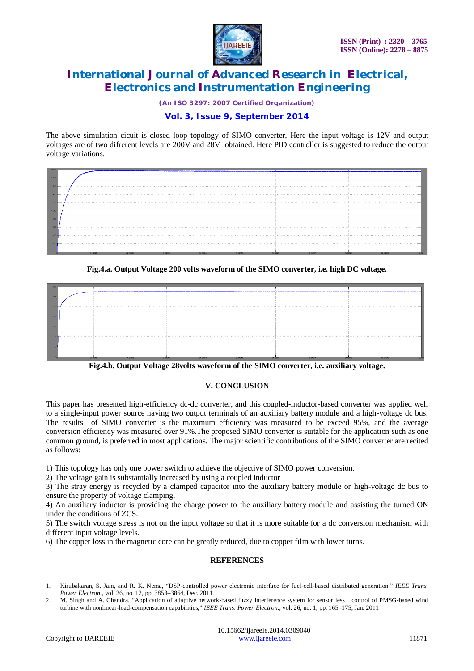

*(An ISO 3297: 2007 Certified Organization)*

### **Vol. 3, Issue 9, September 2014**

The above simulation cicuit is closed loop topology of SIMO converter, Here the input voltage is 12V and output voltages are of two difrerent levels are 200V and 28V obtained. Here PID controller is suggested to reduce the output voltage variations.

|           | $150 - \cdots$ |       |       |                |       |                |       |      |
|-----------|----------------|-------|-------|----------------|-------|----------------|-------|------|
| $140 -$   |                |       |       |                |       |                |       |      |
| $120 - 4$ |                |       |       |                |       |                |       |      |
|           |                |       |       |                |       |                |       |      |
|           |                |       |       |                |       |                |       |      |
|           |                |       |       |                |       |                |       |      |
|           |                |       |       |                |       |                |       |      |
|           |                |       |       |                |       |                |       |      |
|           |                |       |       |                |       |                |       |      |
|           | 0.001          | 0.002 | 0.003 | 0.005<br>0.004 | 0.006 | 0.007<br>0.008 | 0.009 | 0.01 |

#### **Fig.4.a. Output Voltage 200 volts waveform of the SIMO converter, i.e. high DC voltage.**

|                                  | the contract of the contract of the contract of the contract of the contract of the contract of the contract of |       |              |              |                |                       |  |
|----------------------------------|-----------------------------------------------------------------------------------------------------------------|-------|--------------|--------------|----------------|-----------------------|--|
| <b>STERN COMPANY AND INCOME.</b> |                                                                                                                 |       |              |              |                |                       |  |
| 20                               |                                                                                                                 |       |              |              |                |                       |  |
|                                  |                                                                                                                 |       |              |              |                |                       |  |
| 30 <sup>1</sup>                  |                                                                                                                 |       |              |              |                |                       |  |
|                                  |                                                                                                                 |       |              |              |                |                       |  |
|                                  |                                                                                                                 |       |              |              |                |                       |  |
|                                  |                                                                                                                 |       |              |              |                |                       |  |
| 0.001                            | 0.002                                                                                                           | 0.003 | <b>D.ODA</b> | <b>D.ODS</b> | 0.006<br>0.007 | <b>O OOO</b><br>0.009 |  |

**Fig.4.b. Output Voltage 28volts waveform of the SIMO converter, i.e. auxiliary voltage.**

### **V. CONCLUSION**

This paper has presented high-efficiency dc-dc converter, and this coupled-inductor-based converter was applied well to a single-input power source having two output terminals of an auxiliary battery module and a high-voltage dc bus. The results of SIMO converter is the maximum efficiency was measured to be exceed 95%, and the average conversion efficiency was measured over 91%.The proposed SIMO converter is suitable for the application such as one common ground, is preferred in most applications. The major scientific contributions of the SIMO converter are recited as follows:

1) This topology has only one power switch to achieve the objective of SIMO power conversion.

2) The voltage gain is substantially increased by using a coupled inductor

3) The stray energy is recycled by a clamped capacitor into the auxiliary battery module or high-voltage dc bus to ensure the property of voltage clamping.

4) An auxiliary inductor is providing the charge power to the auxiliary battery module and assisting the turned ON under the conditions of ZCS.

5) The switch voltage stress is not on the input voltage so that it is more suitable for a dc conversion mechanism with different input voltage levels.

6) The copper loss in the magnetic core can be greatly reduced, due to copper film with lower turns.

#### **REFERENCES**

- 1. Kirubakaran, S. Jain, and R. K. Nema, "DSP-controlled power electronic interface for fuel-cell-based distributed generation," *IEEE Trans. Power Electron.*, vol. 26, no. 12, pp. 3853–3864, Dec. 2011
- 2. M. Singh and A. Chandra, "Application of adaptive network-based fuzzy interference system for sensor less control of PMSG-based wind turbine with nonlinear-load-compensation capabilities," *IEEE Trans. Power Electron.*, vol. 26, no. 1, pp. 165–175, Jan. 2011